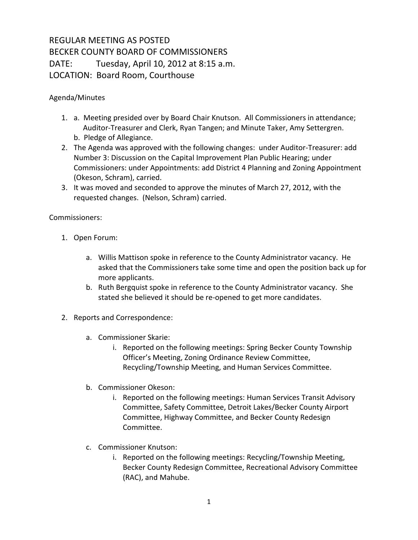## REGULAR MEETING AS POSTED BECKER COUNTY BOARD OF COMMISSIONERS DATE: Tuesday, April 10, 2012 at 8:15 a.m. LOCATION: Board Room, Courthouse

Agenda/Minutes

- 1. a. Meeting presided over by Board Chair Knutson. All Commissioners in attendance; Auditor-Treasurer and Clerk, Ryan Tangen; and Minute Taker, Amy Settergren. b. Pledge of Allegiance.
- 2. The Agenda was approved with the following changes: under Auditor-Treasurer: add Number 3: Discussion on the Capital Improvement Plan Public Hearing; under Commissioners: under Appointments: add District 4 Planning and Zoning Appointment (Okeson, Schram), carried.
- 3. It was moved and seconded to approve the minutes of March 27, 2012, with the requested changes. (Nelson, Schram) carried.

Commissioners:

- 1. Open Forum:
	- a. Willis Mattison spoke in reference to the County Administrator vacancy. He asked that the Commissioners take some time and open the position back up for more applicants.
	- b. Ruth Bergquist spoke in reference to the County Administrator vacancy. She stated she believed it should be re-opened to get more candidates.
- 2. Reports and Correspondence:
	- a. Commissioner Skarie:
		- i. Reported on the following meetings: Spring Becker County Township Officer's Meeting, Zoning Ordinance Review Committee, Recycling/Township Meeting, and Human Services Committee.
	- b. Commissioner Okeson:
		- i. Reported on the following meetings: Human Services Transit Advisory Committee, Safety Committee, Detroit Lakes/Becker County Airport Committee, Highway Committee, and Becker County Redesign Committee.
	- c. Commissioner Knutson:
		- i. Reported on the following meetings: Recycling/Township Meeting, Becker County Redesign Committee, Recreational Advisory Committee (RAC), and Mahube.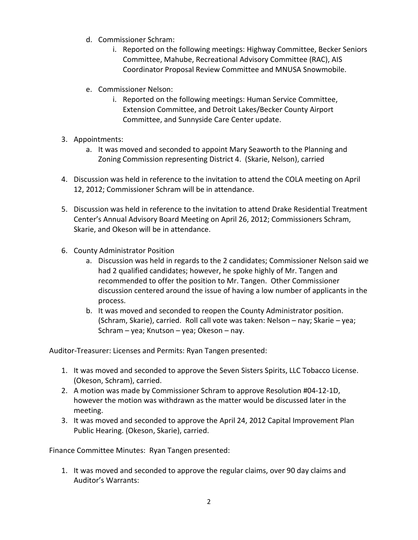- d. Commissioner Schram:
	- i. Reported on the following meetings: Highway Committee, Becker Seniors Committee, Mahube, Recreational Advisory Committee (RAC), AIS Coordinator Proposal Review Committee and MNUSA Snowmobile.
- e. Commissioner Nelson:
	- i. Reported on the following meetings: Human Service Committee, Extension Committee, and Detroit Lakes/Becker County Airport Committee, and Sunnyside Care Center update.
- 3. Appointments:
	- a. It was moved and seconded to appoint Mary Seaworth to the Planning and Zoning Commission representing District 4. (Skarie, Nelson), carried
- 4. Discussion was held in reference to the invitation to attend the COLA meeting on April 12, 2012; Commissioner Schram will be in attendance.
- 5. Discussion was held in reference to the invitation to attend Drake Residential Treatment Center's Annual Advisory Board Meeting on April 26, 2012; Commissioners Schram, Skarie, and Okeson will be in attendance.
- 6. County Administrator Position
	- a. Discussion was held in regards to the 2 candidates; Commissioner Nelson said we had 2 qualified candidates; however, he spoke highly of Mr. Tangen and recommended to offer the position to Mr. Tangen. Other Commissioner discussion centered around the issue of having a low number of applicants in the process.
	- b. It was moved and seconded to reopen the County Administrator position. (Schram, Skarie), carried. Roll call vote was taken: Nelson – nay; Skarie – yea; Schram – yea; Knutson – yea; Okeson – nay.

Auditor-Treasurer: Licenses and Permits: Ryan Tangen presented:

- 1. It was moved and seconded to approve the Seven Sisters Spirits, LLC Tobacco License. (Okeson, Schram), carried.
- 2. A motion was made by Commissioner Schram to approve Resolution #04-12-1D, however the motion was withdrawn as the matter would be discussed later in the meeting.
- 3. It was moved and seconded to approve the April 24, 2012 Capital Improvement Plan Public Hearing. (Okeson, Skarie), carried.

Finance Committee Minutes: Ryan Tangen presented:

1. It was moved and seconded to approve the regular claims, over 90 day claims and Auditor's Warrants: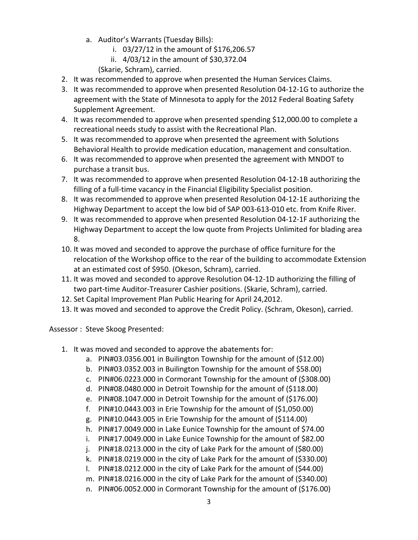- a. Auditor's Warrants (Tuesday Bills):
	- i. 03/27/12 in the amount of \$176,206.57
	- ii. 4/03/12 in the amount of \$30,372.04
	- (Skarie, Schram), carried.
- 2. It was recommended to approve when presented the Human Services Claims.
- 3. It was recommended to approve when presented Resolution 04-12-1G to authorize the agreement with the State of Minnesota to apply for the 2012 Federal Boating Safety Supplement Agreement.
- 4. It was recommended to approve when presented spending \$12,000.00 to complete a recreational needs study to assist with the Recreational Plan.
- 5. It was recommended to approve when presented the agreement with Solutions Behavioral Health to provide medication education, management and consultation.
- 6. It was recommended to approve when presented the agreement with MNDOT to purchase a transit bus.
- 7. It was recommended to approve when presented Resolution 04-12-1B authorizing the filling of a full-time vacancy in the Financial Eligibility Specialist position.
- 8. It was recommended to approve when presented Resolution 04-12-1E authorizing the Highway Department to accept the low bid of SAP 003-613-010 etc. from Knife River.
- 9. It was recommended to approve when presented Resolution 04-12-1F authorizing the Highway Department to accept the low quote from Projects Unlimited for blading area 8.
- 10. It was moved and seconded to approve the purchase of office furniture for the relocation of the Workshop office to the rear of the building to accommodate Extension at an estimated cost of \$950. (Okeson, Schram), carried.
- 11. It was moved and seconded to approve Resolution 04-12-1D authorizing the filling of two part-time Auditor-Treasurer Cashier positions. (Skarie, Schram), carried.
- 12. Set Capital Improvement Plan Public Hearing for April 24,2012.
- 13. It was moved and seconded to approve the Credit Policy. (Schram, Okeson), carried.

Assessor : Steve Skoog Presented:

- 1. It was moved and seconded to approve the abatements for:
	- a. PIN#03.0356.001 in Builington Township for the amount of (\$12.00)
	- b. PIN#03.0352.003 in Builington Township for the amount of \$58.00)
	- c. PIN#06.0223.000 in Cormorant Township for the amount of (\$308.00)
	- d. PIN#08.0480.000 in Detroit Township for the amount of (\$118.00)
	- e. PIN#08.1047.000 in Detroit Township for the amount of (\$176.00)
	- f. PIN#10.0443.003 in Erie Township for the amount of (\$1,050.00)
	- g. PIN#10.0443.005 in Erie Township for the amount of (\$114.00)
	- h. PIN#17.0049.000 in Lake Eunice Township for the amount of \$74.00
	- i. PIN#17.0049.000 in Lake Eunice Township for the amount of \$82.00
	- j. PIN#18.0213.000 in the city of Lake Park for the amount of (\$80.00)
	- k. PIN#18.0219.000 in the city of Lake Park for the amount of (\$330.00)
	- l. PIN#18.0212.000 in the city of Lake Park for the amount of (\$44.00)
	- m. PIN#18.0216.000 in the city of Lake Park for the amount of (\$340.00)
	- n. PIN#06.0052.000 in Cormorant Township for the amount of (\$176.00)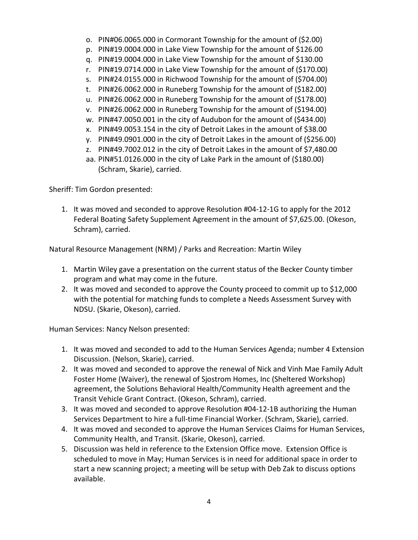- o. PIN#06.0065.000 in Cormorant Township for the amount of (\$2.00)
- p. PIN#19.0004.000 in Lake View Township for the amount of \$126.00
- q. PIN#19.0004.000 in Lake View Township for the amount of \$130.00
- r. PIN#19.0714.000 in Lake View Township for the amount of (\$170.00)
- s. PIN#24.0155.000 in Richwood Township for the amount of (\$704.00)
- t. PIN#26.0062.000 in Runeberg Township for the amount of (\$182.00)
- u. PIN#26.0062.000 in Runeberg Township for the amount of (\$178.00)
- v. PIN#26.0062.000 in Runeberg Township for the amount of (\$194.00)
- w. PIN#47.0050.001 in the city of Audubon for the amount of (\$434.00)
- x. PIN#49.0053.154 in the city of Detroit Lakes in the amount of \$38.00
- y. PIN#49.0901.000 in the city of Detroit Lakes in the amount of (\$256.00)
- z. PIN#49.7002.012 in the city of Detroit Lakes in the amount of \$7,480.00
- aa. PIN#51.0126.000 in the city of Lake Park in the amount of (\$180.00) (Schram, Skarie), carried.

Sheriff: Tim Gordon presented:

1. It was moved and seconded to approve Resolution #04-12-1G to apply for the 2012 Federal Boating Safety Supplement Agreement in the amount of \$7,625.00. (Okeson, Schram), carried.

Natural Resource Management (NRM) / Parks and Recreation: Martin Wiley

- 1. Martin Wiley gave a presentation on the current status of the Becker County timber program and what may come in the future.
- 2. It was moved and seconded to approve the County proceed to commit up to \$12,000 with the potential for matching funds to complete a Needs Assessment Survey with NDSU. (Skarie, Okeson), carried.

Human Services: Nancy Nelson presented:

- 1. It was moved and seconded to add to the Human Services Agenda; number 4 Extension Discussion. (Nelson, Skarie), carried.
- 2. It was moved and seconded to approve the renewal of Nick and Vinh Mae Family Adult Foster Home (Waiver), the renewal of Sjostrom Homes, Inc (Sheltered Workshop) agreement, the Solutions Behavioral Health/Community Health agreement and the Transit Vehicle Grant Contract. (Okeson, Schram), carried.
- 3. It was moved and seconded to approve Resolution #04-12-1B authorizing the Human Services Department to hire a full-time Financial Worker. (Schram, Skarie), carried.
- 4. It was moved and seconded to approve the Human Services Claims for Human Services, Community Health, and Transit. (Skarie, Okeson), carried.
- 5. Discussion was held in reference to the Extension Office move. Extension Office is scheduled to move in May; Human Services is in need for additional space in order to start a new scanning project; a meeting will be setup with Deb Zak to discuss options available.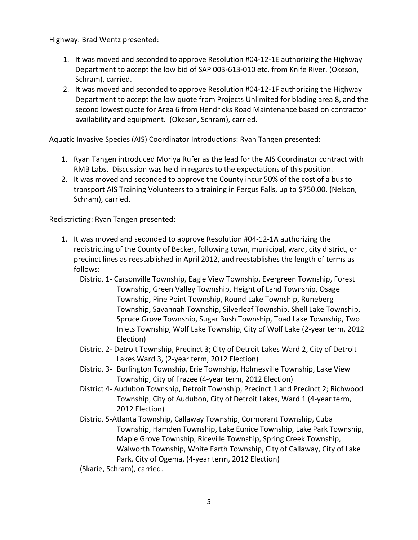Highway: Brad Wentz presented:

- 1. It was moved and seconded to approve Resolution #04-12-1E authorizing the Highway Department to accept the low bid of SAP 003-613-010 etc. from Knife River. (Okeson, Schram), carried.
- 2. It was moved and seconded to approve Resolution #04-12-1F authorizing the Highway Department to accept the low quote from Projects Unlimited for blading area 8, and the second lowest quote for Area 6 from Hendricks Road Maintenance based on contractor availability and equipment. (Okeson, Schram), carried.

Aquatic Invasive Species (AIS) Coordinator Introductions: Ryan Tangen presented:

- 1. Ryan Tangen introduced Moriya Rufer as the lead for the AIS Coordinator contract with RMB Labs. Discussion was held in regards to the expectations of this position.
- 2. It was moved and seconded to approve the County incur 50% of the cost of a bus to transport AIS Training Volunteers to a training in Fergus Falls, up to \$750.00. (Nelson, Schram), carried.

Redistricting: Ryan Tangen presented:

- 1. It was moved and seconded to approve Resolution #04-12-1A authorizing the redistricting of the County of Becker, following town, municipal, ward, city district, or precinct lines as reestablished in April 2012, and reestablishes the length of terms as follows:
	- District 1- Carsonville Township, Eagle View Township, Evergreen Township, Forest Township, Green Valley Township, Height of Land Township, Osage Township, Pine Point Township, Round Lake Township, Runeberg Township, Savannah Township, Silverleaf Township, Shell Lake Township, Spruce Grove Township, Sugar Bush Township, Toad Lake Township, Two Inlets Township, Wolf Lake Township, City of Wolf Lake (2-year term, 2012 Election)
	- District 2- Detroit Township, Precinct 3; City of Detroit Lakes Ward 2, City of Detroit Lakes Ward 3, (2-year term, 2012 Election)
	- District 3- Burlington Township, Erie Township, Holmesville Township, Lake View Township, City of Frazee (4-year term, 2012 Election)
	- District 4- Audubon Township, Detroit Township, Precinct 1 and Precinct 2; Richwood Township, City of Audubon, City of Detroit Lakes, Ward 1 (4-year term, 2012 Election)
	- District 5-Atlanta Township, Callaway Township, Cormorant Township, Cuba Township, Hamden Township, Lake Eunice Township, Lake Park Township, Maple Grove Township, Riceville Township, Spring Creek Township, Walworth Township, White Earth Township, City of Callaway, City of Lake Park, City of Ogema, (4-year term, 2012 Election)

(Skarie, Schram), carried.